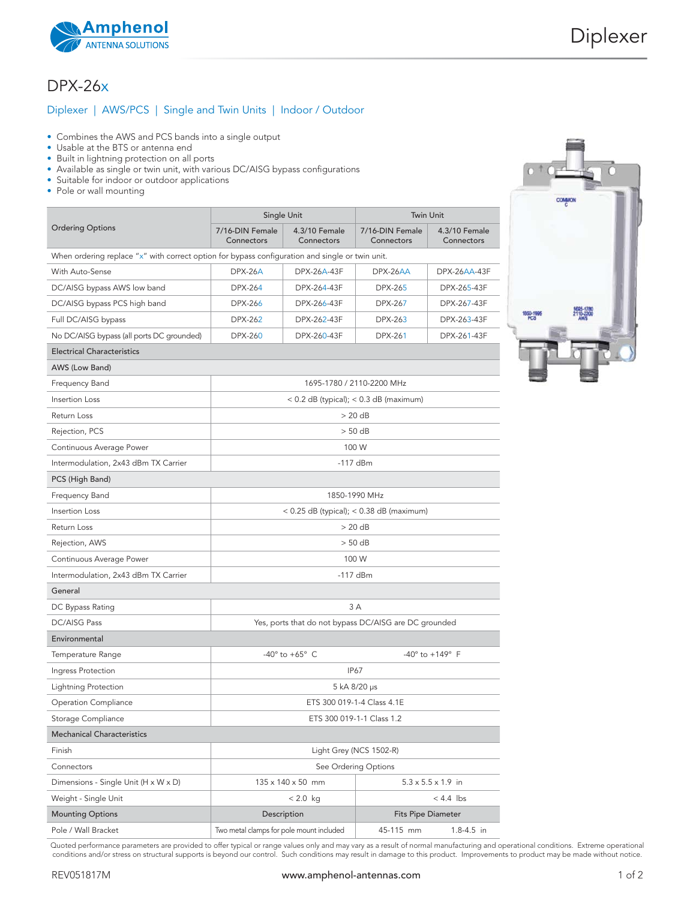

## DPX-26x

## Diplexer | AWS/PCS | Single and Twin Units | Indoor / Outdoor

- Combines the AWS and PCS bands into a single output
- Usable at the BTS or antenna end
- Built in lightning protection on all ports
- Available as single or twin unit, with various DC/AISG bypass configurations
- Suitable for indoor or outdoor applications
- Pole or wall mounting

|                                           | Single Unit                                                                                     |                                    | <b>Twin Unit</b>              |                                   |  |
|-------------------------------------------|-------------------------------------------------------------------------------------------------|------------------------------------|-------------------------------|-----------------------------------|--|
| <b>Ordering Options</b>                   | 7/16-DIN Female<br>Connectors                                                                   | 4.3/10 Female<br>Connectors        | 7/16-DIN Female<br>Connectors | 4.3/10 Female<br>Connectors       |  |
|                                           | When ordering replace "x" with correct option for bypass configuration and single or twin unit. |                                    |                               |                                   |  |
| With Auto-Sense                           | <b>DPX-26A</b>                                                                                  | DPX-26A-43F                        | DPX-26AA                      | DPX-26AA-43F                      |  |
| DC/AISG bypass AWS low band               | <b>DPX-264</b>                                                                                  | DPX-264-43F                        | <b>DPX-265</b>                | DPX-265-43F                       |  |
| DC/AISG bypass PCS high band              | <b>DPX-266</b>                                                                                  | DPX-266-43F                        | <b>DPX-267</b>                | DPX-267-43F                       |  |
| Full DC/AISG bypass                       | <b>DPX-262</b>                                                                                  | DPX-262-43F                        | <b>DPX-263</b>                | DPX-263-43F                       |  |
| No DC/AISG bypass (all ports DC grounded) | <b>DPX-260</b>                                                                                  | DPX-260-43F                        | <b>DPX-261</b>                | DPX-261-43F                       |  |
| <b>Electrical Characteristics</b>         |                                                                                                 |                                    |                               |                                   |  |
| AWS (Low Band)                            |                                                                                                 |                                    |                               |                                   |  |
| Frequency Band                            | 1695-1780 / 2110-2200 MHz                                                                       |                                    |                               |                                   |  |
| Insertion Loss                            | $<$ 0.2 dB (typical); $<$ 0.3 dB (maximum)                                                      |                                    |                               |                                   |  |
| Return Loss                               | > 20 dB                                                                                         |                                    |                               |                                   |  |
| Rejection, PCS                            | > 50 dB                                                                                         |                                    |                               |                                   |  |
| Continuous Average Power                  | 100 W                                                                                           |                                    |                               |                                   |  |
| Intermodulation, 2x43 dBm TX Carrier      | $-117$ dBm                                                                                      |                                    |                               |                                   |  |
| PCS (High Band)                           |                                                                                                 |                                    |                               |                                   |  |
| Frequency Band                            | 1850-1990 MHz                                                                                   |                                    |                               |                                   |  |
| Insertion Loss                            | $<$ 0.25 dB (typical); $<$ 0.38 dB (maximum)                                                    |                                    |                               |                                   |  |
| Return Loss                               | > 20 dB                                                                                         |                                    |                               |                                   |  |
| Rejection, AWS                            | > 50 dB                                                                                         |                                    |                               |                                   |  |
| Continuous Average Power                  | 100 W                                                                                           |                                    |                               |                                   |  |
| Intermodulation, 2x43 dBm TX Carrier      | $-117$ dBm                                                                                      |                                    |                               |                                   |  |
| General                                   |                                                                                                 |                                    |                               |                                   |  |
| DC Bypass Rating                          | 3A                                                                                              |                                    |                               |                                   |  |
| <b>DC/AISG Pass</b>                       | Yes, ports that do not bypass DC/AISG are DC grounded                                           |                                    |                               |                                   |  |
| Environmental                             |                                                                                                 |                                    |                               |                                   |  |
| Temperature Range                         |                                                                                                 | -40 $^{\circ}$ to +65 $^{\circ}$ C |                               | $-40^{\circ}$ to $+149^{\circ}$ F |  |
| Ingress Protection                        | IP67                                                                                            |                                    |                               |                                   |  |
| Lightning Protection                      | 5 kA 8/20 µs                                                                                    |                                    |                               |                                   |  |
| Operation Compliance                      | ETS 300 019-1-4 Class 4.1E                                                                      |                                    |                               |                                   |  |
| Storage Compliance                        | ETS 300 019-1-1 Class 1.2                                                                       |                                    |                               |                                   |  |
| <b>Mechanical Characteristics</b>         |                                                                                                 |                                    |                               |                                   |  |
| Finish                                    | Light Grey (NCS 1502-R)                                                                         |                                    |                               |                                   |  |
| Connectors                                | See Ordering Options                                                                            |                                    |                               |                                   |  |
| Dimensions - Single Unit (H x W x D)      | 135 x 140 x 50 mm<br>$5.3 \times 5.5 \times 1.9$ in                                             |                                    |                               |                                   |  |
| Weight - Single Unit                      | $< 2.0$ kg<br>$< 4.4$ lbs                                                                       |                                    |                               |                                   |  |
| <b>Mounting Options</b>                   |                                                                                                 | Description                        | <b>Fits Pipe Diameter</b>     |                                   |  |
| Pole / Wall Bracket                       | Two metal clamps for pole mount included                                                        |                                    | 45-115 mm                     | $1.8 - 4.5$ in                    |  |



Quoted performance parameters are provided to offer typical or range values only and may vary as a result of normal manufacturing and operational conditions. Extreme operational conditions and/or stress on structural supports is beyond our control. Such conditions may result in damage to this product. Improvements to product may be made without notice.